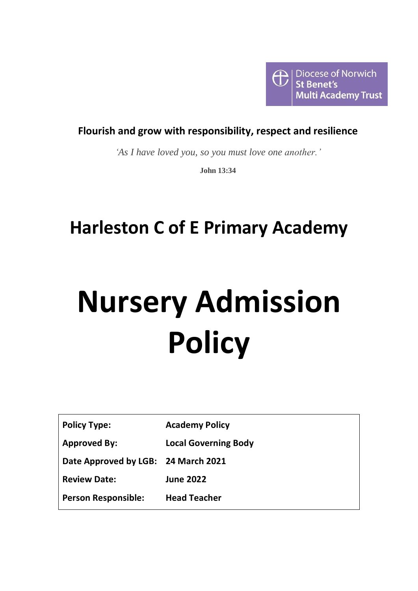

### **Flourish and grow with responsibility, respect and resilience**

*'As I have loved you, so you must love one another.'*

**John 13:34**

## **Harleston C of E Primary Academy**

# **Nursery Admission Policy**

| <b>Policy Type:</b>                 | <b>Academy Policy</b>       |
|-------------------------------------|-----------------------------|
| <b>Approved By:</b>                 | <b>Local Governing Body</b> |
| Date Approved by LGB: 24 March 2021 |                             |
| <b>Review Date:</b>                 | <b>June 2022</b>            |
| <b>Person Responsible:</b>          | <b>Head Teacher</b>         |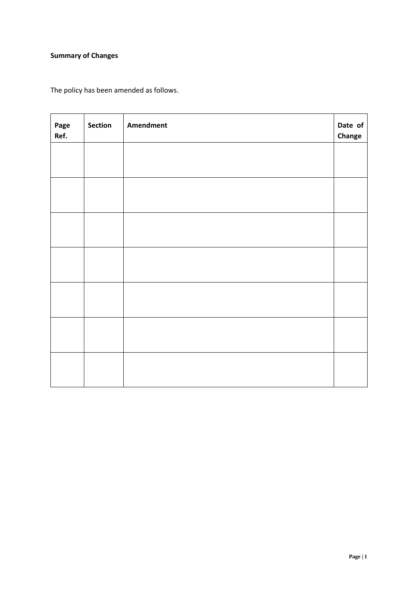#### **Summary of Changes**

The policy has been amended as follows.

| Page<br>Ref. | Section | <b>Amendment</b> | Date of<br>Change |
|--------------|---------|------------------|-------------------|
|              |         |                  |                   |
|              |         |                  |                   |
|              |         |                  |                   |
|              |         |                  |                   |
|              |         |                  |                   |
|              |         |                  |                   |
|              |         |                  |                   |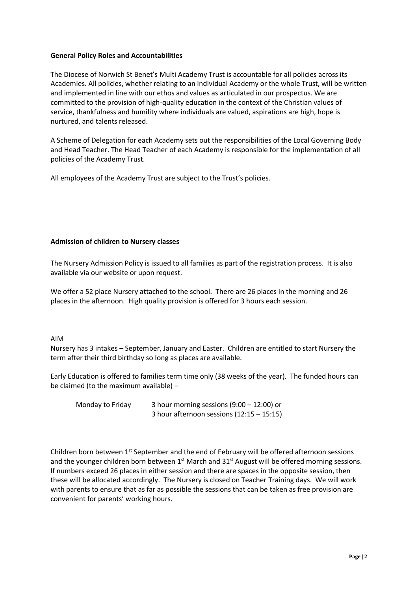#### **General Policy Roles and Accountabilities**

The Diocese of Norwich St Benet's Multi Academy Trust is accountable for all policies across its Academies. All policies, whether relating to an individual Academy or the whole Trust, will be written and implemented in line with our ethos and values as articulated in our prospectus. We are committed to the provision of high-quality education in the context of the Christian values of service, thankfulness and humility where individuals are valued, aspirations are high, hope is nurtured, and talents released.

A Scheme of Delegation for each Academy sets out the responsibilities of the Local Governing Body and Head Teacher. The Head Teacher of each Academy is responsible for the implementation of all policies of the Academy Trust.

All employees of the Academy Trust are subject to the Trust's policies.

#### **Admission of children to Nursery classes**

The Nursery Admission Policy is issued to all families as part of the registration process. It is also available via our website or upon request.

We offer a 52 place Nursery attached to the school. There are 26 places in the morning and 26 places in the afternoon. High quality provision is offered for 3 hours each session.

AIM

Nursery has 3 intakes – September, January and Easter. Children are entitled to start Nursery the term after their third birthday so long as places are available.

Early Education is offered to families term time only (38 weeks of the year). The funded hours can be claimed (to the maximum available) –

| Monday to Friday | 3 hour morning sessions $(9:00 - 12:00)$ or |
|------------------|---------------------------------------------|
|                  | 3 hour afternoon sessions $(12:15 - 15:15)$ |

Children born between 1<sup>st</sup> September and the end of February will be offered afternoon sessions and the younger children born between  $1<sup>st</sup>$  March and  $31<sup>st</sup>$  August will be offered morning sessions. If numbers exceed 26 places in either session and there are spaces in the opposite session, then these will be allocated accordingly. The Nursery is closed on Teacher Training days. We will work with parents to ensure that as far as possible the sessions that can be taken as free provision are convenient for parents' working hours.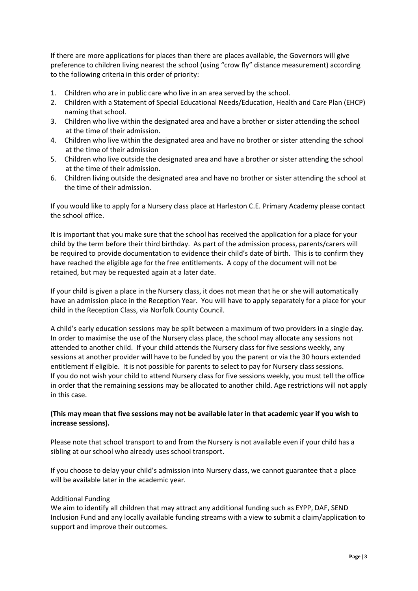If there are more applications for places than there are places available, the Governors will give preference to children living nearest the school (using "crow fly" distance measurement) according to the following criteria in this order of priority:

- 1. Children who are in public care who live in an area served by the school.
- 2. Children with a Statement of Special Educational Needs/Education, Health and Care Plan (EHCP) naming that school.
- 3. Children who live within the designated area and have a brother or sister attending the school at the time of their admission.
- 4. Children who live within the designated area and have no brother or sister attending the school at the time of their admission
- 5. Children who live outside the designated area and have a brother or sister attending the school at the time of their admission.
- 6. Children living outside the designated area and have no brother or sister attending the school at the time of their admission.

If you would like to apply for a Nursery class place at Harleston C.E. Primary Academy please contact the school office.

It is important that you make sure that the school has received the application for a place for your child by the term before their third birthday. As part of the admission process, parents/carers will be required to provide documentation to evidence their child's date of birth. This is to confirm they have reached the eligible age for the free entitlements. A copy of the document will not be retained, but may be requested again at a later date.

If your child is given a place in the Nursery class, it does not mean that he or she will automatically have an admission place in the Reception Year. You will have to apply separately for a place for your child in the Reception Class, via Norfolk County Council.

A child's early education sessions may be split between a maximum of two providers in a single day. In order to maximise the use of the Nursery class place, the school may allocate any sessions not attended to another child. If your child attends the Nursery class for five sessions weekly, any sessions at another provider will have to be funded by you the parent or via the 30 hours extended entitlement if eligible. It is not possible for parents to select to pay for Nursery class sessions. If you do not wish your child to attend Nursery class for five sessions weekly, you must tell the office in order that the remaining sessions may be allocated to another child. Age restrictions will not apply in this case.

#### **(This may mean that five sessions may not be available later in that academic year if you wish to increase sessions).**

Please note that school transport to and from the Nursery is not available even if your child has a sibling at our school who already uses school transport.

If you choose to delay your child's admission into Nursery class, we cannot guarantee that a place will be available later in the academic year.

#### Additional Funding

We aim to identify all children that may attract any additional funding such as EYPP, DAF, SEND Inclusion Fund and any locally available funding streams with a view to submit a claim/application to support and improve their outcomes.